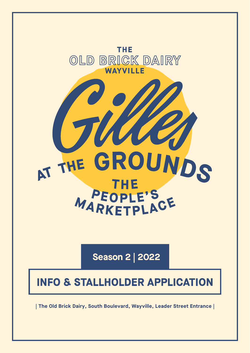

**Season 2 | 2022**

# **INFO & STALLHOLDER APPLICATION**

**| The Old Brick Dairy, South Boulevard, Wayville, Leader Street Entrance |**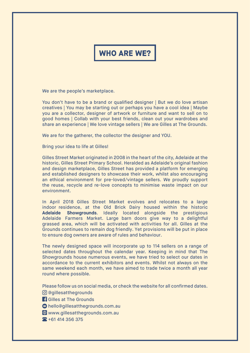## **WHO ARE WE?**

We are the people's marketplace.

You don't have to be a brand or qualified designer | But we do love artisan creatives | You may be starting out or perhaps you have a cool idea | Maybe you are a collector, designer of artwork or furniture and want to sell on to good homes | Collab with your best friends, clean out your wardrobes and share an experience | We love vintage sellers | We are Gilles at The Grounds.

We are for the gatherer, the collector the designer and YOU.

Bring your idea to life at Gilles!

Gilles Street Market originated in 2008 in the heart of the city, Adelaide at the historic, Gilles Street Primary School. Heralded as Adelaide's original fashion and design marketplace, Gilles Street has provided a platform for emerging and established designers to showcase their work, whilst also encouraging an ethical environment for pre-loved/vintage sellers. We proudly support the reuse, recycle and re-love concepts to minimise waste impact on our environment.

In April 2018 Gilles Street Market evolves and relocates to a large indoor residence, at the Old Brick Dairy housed within the historic **Adelaide Showgrounds**. Ideally located alongside the prestigious Adelaide Farmers Market. Large barn doors give way to a delightful grassed area, which will be activated with activities for all. Gilles at the Grounds continues to remain dog friendly. Yet provisions will be put in place to ensure dog owners are aware of rules and behaviour.

The newly designed space will incorporate up to 114 sellers on a range of selected dates throughout the calendar year. Keeping in mind that The Showgrounds house numerous events, we have tried to select our dates in accordance to the current exhibitors and events. Whilst not always on the same weekend each month, we have aimed to trade twice a month all year round where possible.

Please follow us on social media, or check the website for all confirmed dates.

@gillesatthegrounds

**Gilles at The Grounds** 

 $\odot$  hello@gillesatthegrounds.com.au

www.gillesatthegrounds.com.au

+61 414 356 375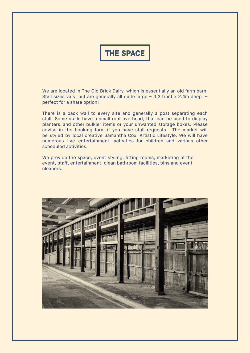## **THE SPACE**

We are located in The Old Brick Dairy, which is essentially an old farm barn. Stall sizes vary, but are generally all quite large – 3.3 front x 2.4m deep – perfect for a share option!

There is a back wall to every site and generally a post separating each stall. Some stalls have a small roof overhead, that can be used to display planters, and other bulkier items or your unwanted storage boxes. Please advise in the booking form if you have stall requests. The market will be styled by local creative Samantha Cox, Artistic Lifestyle. We will have numerous live entertainment, activities for children and various other scheduled activities.

We provide the space, event styling, fitting rooms, marketing of the event, staff, entertainment, clean bathroom facilities, bins and event cleaners.

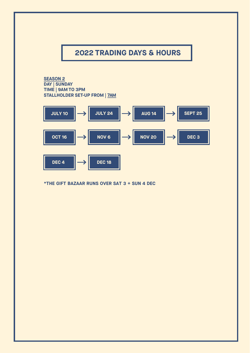## **2022 TRADING DAYS & HOURS**

**SEASON 2 DAY | SUNDAY TIME | 9AM TO 3PM STALLHOLDER SET-UP FROM | 7AM**



**\*THE GIFT BAZAAR RUNS OVER SAT 3 + SUN 4 DEC**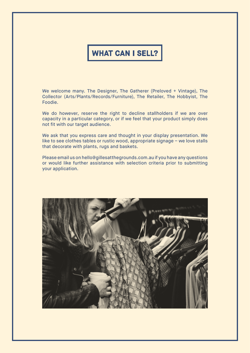## **WHAT CAN I SELL?**

We welcome many. The Designer, The Gatherer (Preloved + Vintage), The Collector (Arts/Plants/Records/Furniture), The Retailer, The Hobbyist, The Foodie.

We do however, reserve the right to decline stallholders if we are over capacity in a particular category, or if we feel that your product simply does not fit with our target audience.

We ask that you express care and thought in your display presentation. We like to see clothes tables or rustic wood, appropriate signage – we love stalls that decorate with plants, rugs and baskets.

Please email us on hello@gillesatthegrounds.com.au if you have any questions or would like further assistance with selection criteria prior to submitting your application.

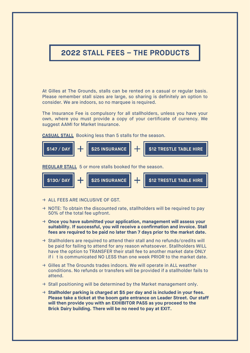## **2022 STALL FEES – THE PRODUCTS**

At Gilles at The Grounds, stalls can be rented on a casual or regular basis. Please remember stall sizes are large, so sharing is definitely an option to consider. We are indoors, so no marquee is required.

The Insurance Fee is compulsory for all stallholders, unless you have your own, where you must provide a copy of your certificate of currency. We suggest AAMI for Market Insurance.

**CASUAL STALL** Booking less than 5 stalls for the season.



**REGULAR STALL** 5 or more stalls booked for the season.



- → ALL FEES ARE INCLUSIVE OF GST.
- $\rightarrow$  NOTE: To obtain the discounted rate, stallholders will be required to pay 50% of the total fee upfront.
- → **Once you have submitted your application, management will assess your suitability. If successful, you will receive a confirmation and invoice. Stall fees are required to be paid no later than 7 days prior to the market date.**
- → Stallholders are required to attend their stall and no refunds/credits will be paid for failing to attend for any reason whatsoever. Stallholders WILL have the option to TRANSFER their stall fee to another market date ONLY if i t is communicated NO LESS than one week PRIOR to the market date.
- → Gilles at The Grounds trades indoors. We will operate in ALL weather conditions. No refunds or transfers will be provided if a stallholder fails to attend.
- $\rightarrow$  Stall positioning will be determined by the Market management only.
- → **Stallholder parking is charged at \$5 per day and is included in your fees. Please take a ticket at the boom gate entrance on Leader Street. Our staff will then provide you with an EXHIBITOR PASS as you proceed to the Brick Dairy building. There will be no need to pay at EXIT.**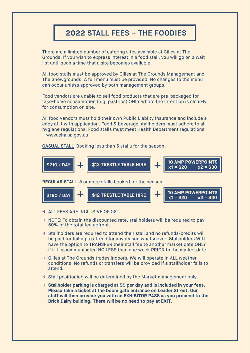## **2022 STALL FEES – THE FOODIES**

There are a limited number of catering sites available at Gilles at The Grounds. If you wish to express interest in a food stall, you will go on a wait list until such a time that a site becomes available.

All food stalls must be approved by Gilles at The Grounds Management and The Showgrounds. A full menu must be provided. No changes to the menu can occur unless approved by both management groups.

Food vendors are unable to sell food products that are pre-packaged for take-home consumption (e.g. pastries) ONLY where the intention is clear-ly for consumption on site.

All food vendors must hold their own Public Liabilty Insurance and include a copy of it with application. Food & beverage stallholders must adhere to all hygiene regulations. Food stalls must meet Health Department regulations – www.eha.sa.gov.au

**CASUAL STALL** Booking less than 5 stalls for the season.



**REGULAR STALL** 5 or more stalls booked for the season.



- → ALL FEES ARE INCLUSIVE OF GST.
- $\rightarrow$  NOTE: To obtain the discounted rate, stallholders will be required to pay 50% of the total fee upfront.
- → Stallholders are required to attend their stall and no refunds/credits will be paid for failing to attend for any reason whatsoever. Stallholders WILL have the option to TRANSFER their stall fee to another market date ONLY if i t is communicated NO LESS than one week PRIOR to the market date.
- → Gilles at The Grounds trades indoors. We will operate in ALL weather conditions. No refunds or transfers will be provided if a stallholder fails to attend.
- $\rightarrow$  Stall positioning will be determined by the Market management only.
- → **Stallholder parking is charged at \$5 per day and is included in your fees. Please take a ticket at the boom gate entrance on Leader Street. Our staff will then provide you with an EXHIBITOR PASS as you proceed to the Brick Dairy building. There will be no need to pay at EXIT.**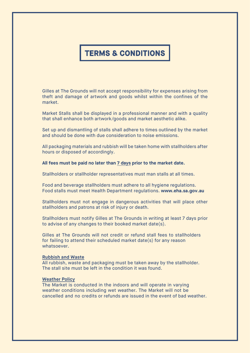## **TERMS & CONDITIONS**

Gilles at The Grounds will not accept responsibility for expenses arising from theft and damage of artwork and goods whilst within the confines of the market.

Market Stalls shall be displayed in a professional manner and with a quality that shall enhance both artwork/goods and market aesthetic alike.

Set up and dismantling of stalls shall adhere to times outlined by the market and should be done with due consideration to noise emissions.

All packaging materials and rubbish will be taken home with stallholders after hours or disposed of accordingly.

### **All fees must be paid no later than 7 days prior to the market date.**

Stallholders or stallholder representatives must man stalls at all times.

Food and beverage stallholders must adhere to all hygiene regulations. Food stalls must meet Health Department regulations. **www.eha.sa.gov.au**

Stallholders must not engage in dangerous activities that will place other stallholders and patrons at risk of injury or death.

Stallholders must notify Gilles at The Grounds in writing at least 7 days prior to advise of any changes to their booked market date(s).

Gilles at The Grounds will not credit or refund stall fees to stallholders for failing to attend their scheduled market date(s) for any reason whatsoever.

### **Rubbish and Waste**

All rubbish, waste and packaging must be taken away by the stallholder. The stall site must be left in the condition it was found.

### **Weather Policy**

The Market is conducted in the indoors and will operate in varying weather conditions including wet weather. The Market will not be cancelled and no credits or refunds are issued in the event of bad weather.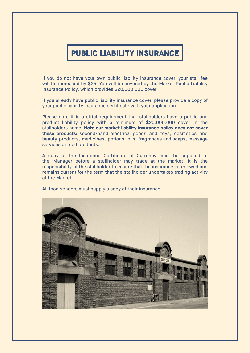## **PUBLIC LIABILITY INSURANCE**

If you do not have your own public liability insurance cover, your stall fee will be increased by \$25. You will be covered by the Market Public Liability Insurance Policy, which provides \$20,000,000 cover.

If you already have public liability insurance cover, please provide a copy of your public liability insurance certificate with your application.

Please note it is a strict requirement that stallholders have a public and product liability policy with a minimum of \$20,000,000 cover in the stallholders name**. Note our market liability insurance policy does not cover these products:** second-hand electrical goods and toys, cosmetics and beauty products, medicines, potions, oils, fragrances and soaps, massage services or food products.

A copy of the Insurance Certificate of Currency must be supplied to the Manager before a stallholder may trade at the market. It is the responsibility of the stallholder to ensure that the insurance is renewed and remains current for the term that the stallholder undertakes trading activity at the Market.

All food vendors must supply a copy of their insurance.

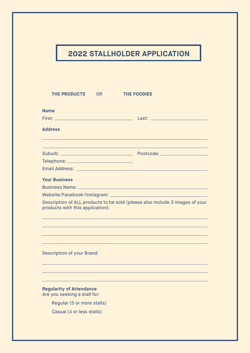## **2022 STALLHOLDER APPLICATION**

| <b>THE PRODUCTS</b><br><b>OR</b>                                                                                 | <b>THE FOODIES</b>                                                                                             |  |  |  |
|------------------------------------------------------------------------------------------------------------------|----------------------------------------------------------------------------------------------------------------|--|--|--|
| <b>Name</b>                                                                                                      |                                                                                                                |  |  |  |
|                                                                                                                  |                                                                                                                |  |  |  |
| <b>Address</b>                                                                                                   |                                                                                                                |  |  |  |
|                                                                                                                  |                                                                                                                |  |  |  |
|                                                                                                                  |                                                                                                                |  |  |  |
| Telephone: ___________________________________                                                                   |                                                                                                                |  |  |  |
|                                                                                                                  | Email Address: No. 1996. The Committee of the Committee of the Committee of the Committee of the Committee of  |  |  |  |
| <b>Your Business</b>                                                                                             |                                                                                                                |  |  |  |
|                                                                                                                  | Business Name: North Maria Communication of the Communication of the Communication of the Communication of the |  |  |  |
|                                                                                                                  |                                                                                                                |  |  |  |
| Description of ALL products to be sold (please also include 3 images of your<br>products with this application): |                                                                                                                |  |  |  |
|                                                                                                                  |                                                                                                                |  |  |  |
|                                                                                                                  |                                                                                                                |  |  |  |
|                                                                                                                  |                                                                                                                |  |  |  |
| <b>Description of your Brand:</b>                                                                                |                                                                                                                |  |  |  |
|                                                                                                                  |                                                                                                                |  |  |  |
| <b>Regularity of Attendance</b><br>Are you seeking a stall for:                                                  |                                                                                                                |  |  |  |
| Regular (5 or more stalls)                                                                                       |                                                                                                                |  |  |  |
| Casual (4 or less stalls)                                                                                        |                                                                                                                |  |  |  |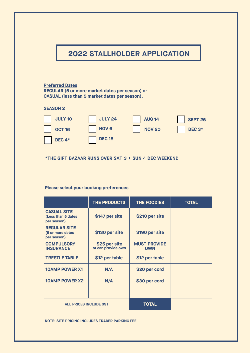## **2022 STALLHOLDER APPLICATION**

#### **Preferred Dates**

**REGULAR (5 or more market dates per season) or CASUAL (less than 5 market dates per season).**

### **SEASON 2**



### **\*THE GIFT BAZAAR RUNS OVER SAT 3 + SUN 4 DEC WEEKEND**

### **Please select your booking preferences**

|                                                         | THE PRODUCTS                        | THE FOODIES                       | <b>TOTAL</b> |
|---------------------------------------------------------|-------------------------------------|-----------------------------------|--------------|
| <b>CASUAL SITE</b><br>(Less than 5 dates<br>per season) | \$147 per site                      | \$210 per site                    |              |
| <b>REGULAR SITE</b><br>(5 or more dates<br>per season)  | \$130 per site                      | \$190 per site                    |              |
| <b>COMPULSORY</b><br><b>INSURANCE</b>                   | \$25 per site<br>or can provide own | <b>MUST PROVIDE</b><br><b>OWN</b> |              |
| <b>TRESTLE TABLE</b>                                    | \$12 per table                      | \$12 per table                    |              |
| <b>10AMP POWER X1</b>                                   | N/A                                 | \$20 per cord                     |              |
| <b>10AMP POWER X2</b>                                   | N/A                                 | \$30 per cord                     |              |
|                                                         |                                     |                                   |              |
| <b>ALL PRICES INCLUDE GST</b>                           |                                     | <b>TOTAL</b>                      |              |

**NOTE: SITE PRICING INCLUDES TRADER PARKING FEE**